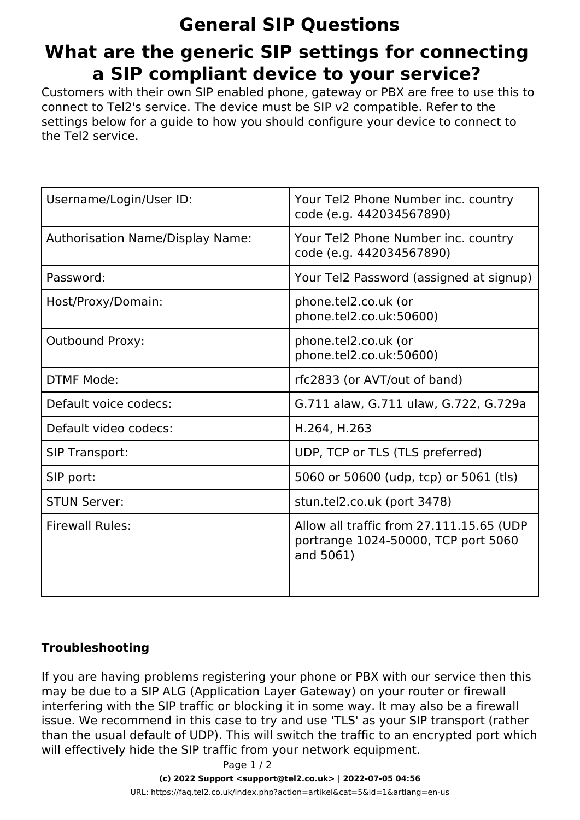## **General SIP Questions What are the generic SIP settings for connecting a SIP compliant device to your service?**

Customers with their own SIP enabled phone, gateway or PBX are free to use this to connect to Tel2's service. The device must be SIP v2 compatible. Refer to the settings below for a guide to how you should configure your device to connect to the Tel2 service.

| Username/Login/User ID:          | Your Tel2 Phone Number inc. country<br>code (e.g. 442034567890)                              |
|----------------------------------|----------------------------------------------------------------------------------------------|
| Authorisation Name/Display Name: | Your Tel2 Phone Number inc. country<br>code (e.g. 442034567890)                              |
| Password:                        | Your Tel2 Password (assigned at signup)                                                      |
| Host/Proxy/Domain:               | phone.tel2.co.uk (or<br>phone.tel2.co.uk:50600)                                              |
| <b>Outbound Proxy:</b>           | phone.tel2.co.uk (or<br>phone.tel2.co.uk:50600)                                              |
| <b>DTMF Mode:</b>                | rfc2833 (or AVT/out of band)                                                                 |
| Default voice codecs:            | G.711 alaw, G.711 ulaw, G.722, G.729a                                                        |
| Default video codecs:            | H.264, H.263                                                                                 |
| <b>SIP Transport:</b>            | UDP, TCP or TLS (TLS preferred)                                                              |
| SIP port:                        | 5060 or 50600 (udp, tcp) or 5061 (tls)                                                       |
| <b>STUN Server:</b>              | stun.tel2.co.uk (port 3478)                                                                  |
| <b>Firewall Rules:</b>           | Allow all traffic from 27.111.15.65 (UDP<br>portrange 1024-50000, TCP port 5060<br>and 5061) |

## **Troubleshooting**

If you are having problems registering your phone or PBX with our service then this may be due to a SIP ALG (Application Layer Gateway) on your router or firewall interfering with the SIP traffic or blocking it in some way. It may also be a firewall issue. We recommend in this case to try and use 'TLS' as your SIP transport (rather than the usual default of UDP). This will switch the traffic to an encrypted port which will effectively hide the SIP traffic from your network equipment.

Page 1 / 2